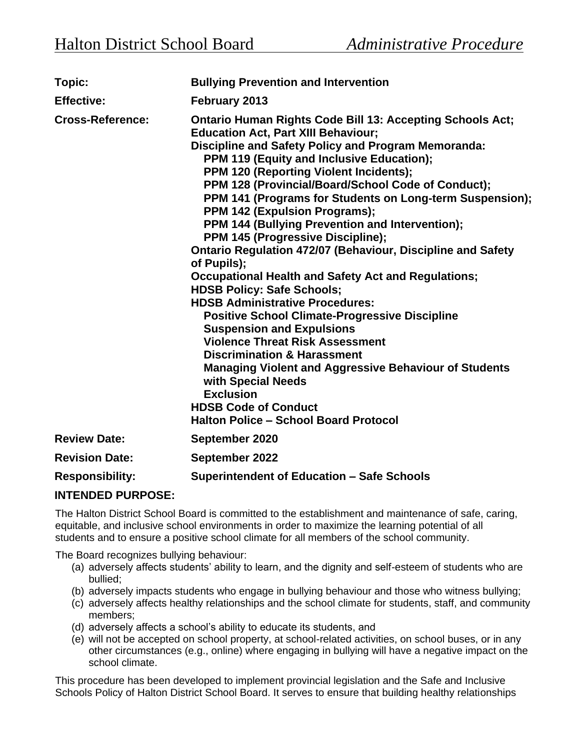| Topic:                  | <b>Bullying Prevention and Intervention</b>                                                                                                                                                                                                                                                                                                                                                                                                                                                                                                                                                                                                                                                                                                                                                                                                                                                                                                                                                                                                                                                                         |
|-------------------------|---------------------------------------------------------------------------------------------------------------------------------------------------------------------------------------------------------------------------------------------------------------------------------------------------------------------------------------------------------------------------------------------------------------------------------------------------------------------------------------------------------------------------------------------------------------------------------------------------------------------------------------------------------------------------------------------------------------------------------------------------------------------------------------------------------------------------------------------------------------------------------------------------------------------------------------------------------------------------------------------------------------------------------------------------------------------------------------------------------------------|
| <b>Effective:</b>       | February 2013                                                                                                                                                                                                                                                                                                                                                                                                                                                                                                                                                                                                                                                                                                                                                                                                                                                                                                                                                                                                                                                                                                       |
| <b>Cross-Reference:</b> | <b>Ontario Human Rights Code Bill 13: Accepting Schools Act;</b><br><b>Education Act, Part XIII Behaviour;</b><br>Discipline and Safety Policy and Program Memoranda:<br>PPM 119 (Equity and Inclusive Education);<br>PPM 120 (Reporting Violent Incidents);<br>PPM 128 (Provincial/Board/School Code of Conduct);<br>PPM 141 (Programs for Students on Long-term Suspension);<br>PPM 142 (Expulsion Programs);<br>PPM 144 (Bullying Prevention and Intervention);<br>PPM 145 (Progressive Discipline);<br><b>Ontario Regulation 472/07 (Behaviour, Discipline and Safety</b><br>of Pupils);<br><b>Occupational Health and Safety Act and Regulations;</b><br><b>HDSB Policy: Safe Schools;</b><br><b>HDSB Administrative Procedures:</b><br><b>Positive School Climate-Progressive Discipline</b><br><b>Suspension and Expulsions</b><br><b>Violence Threat Risk Assessment</b><br><b>Discrimination &amp; Harassment</b><br><b>Managing Violent and Aggressive Behaviour of Students</b><br>with Special Needs<br><b>Exclusion</b><br><b>HDSB Code of Conduct</b><br><b>Halton Police - School Board Protocol</b> |
| <b>Review Date:</b>     | September 2020                                                                                                                                                                                                                                                                                                                                                                                                                                                                                                                                                                                                                                                                                                                                                                                                                                                                                                                                                                                                                                                                                                      |
| <b>Revision Date:</b>   | September 2022                                                                                                                                                                                                                                                                                                                                                                                                                                                                                                                                                                                                                                                                                                                                                                                                                                                                                                                                                                                                                                                                                                      |
| <b>Responsibility:</b>  | <b>Superintendent of Education - Safe Schools</b>                                                                                                                                                                                                                                                                                                                                                                                                                                                                                                                                                                                                                                                                                                                                                                                                                                                                                                                                                                                                                                                                   |

## **INTENDED PURPOSE:**

The Halton District School Board is committed to the establishment and maintenance of safe, caring, equitable, and inclusive school environments in order to maximize the learning potential of all students and to ensure a positive school climate for all members of the school community.

The Board recognizes bullying behaviour:

- (a) adversely affects students' ability to learn, and the dignity and self-esteem of students who are bullied;
- (b) adversely impacts students who engage in bullying behaviour and those who witness bullying;
- (c) adversely affects healthy relationships and the school climate for students, staff, and community members;
- (d) adversely affects a school's ability to educate its students, and
- (e) will not be accepted on school property, at school-related activities, on school buses, or in any other circumstances (e.g., online) where engaging in bullying will have a negative impact on the school climate.

This procedure has been developed to implement provincial legislation and the Safe and Inclusive Schools Policy of Halton District School Board. It serves to ensure that building healthy relationships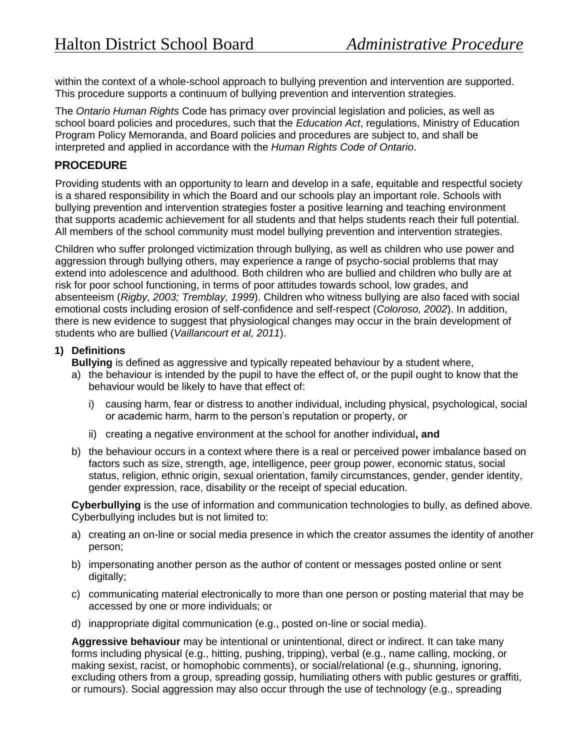within the context of a whole-school approach to bullying prevention and intervention are supported. This procedure supports a continuum of bullying prevention and intervention strategies.

The *Ontario Human Rights* Code has primacy over provincial legislation and policies, as well as school board policies and procedures, such that the *Education Act*, regulations, Ministry of Education Program Policy Memoranda, and Board policies and procedures are subject to, and shall be interpreted and applied in accordance with the *Human Rights Code of Ontario*.

# **PROCEDURE**

Providing students with an opportunity to learn and develop in a safe, equitable and respectful society is a shared responsibility in which the Board and our schools play an important role. Schools with bullying prevention and intervention strategies foster a positive learning and teaching environment that supports academic achievement for all students and that helps students reach their full potential. All members of the school community must model bullying prevention and intervention strategies.

Children who suffer prolonged victimization through bullying, as well as children who use power and aggression through bullying others, may experience a range of psycho-social problems that may extend into adolescence and adulthood. Both children who are bullied and children who bully are at risk for poor school functioning, in terms of poor attitudes towards school, low grades, and absenteeism (*Rigby, 2003; Tremblay, 1999*). Children who witness bullying are also faced with social emotional costs including erosion of self-confidence and self-respect (*Coloroso, 2002*). In addition, there is new evidence to suggest that physiological changes may occur in the brain development of students who are bullied (*Vaillancourt et al, 2011*).

### **1) Definitions**

**Bullying** is defined as aggressive and typically repeated behaviour by a student where,

- a) the behaviour is intended by the pupil to have the effect of, or the pupil ought to know that the behaviour would be likely to have that effect of:
	- i) causing harm, fear or distress to another individual, including physical, psychological, social or academic harm, harm to the person's reputation or property, or
	- ii) creating a negative environment at the school for another individual**, and**
- b) the behaviour occurs in a context where there is a real or perceived power imbalance based on factors such as size, strength, age, intelligence, peer group power, economic status, social status, religion, ethnic origin, sexual orientation, family circumstances, gender, gender identity, gender expression, race, disability or the receipt of special education.

**Cyberbullying** is the use of information and communication technologies to bully, as defined above. Cyberbullying includes but is not limited to:

- a) creating an on-line or social media presence in which the creator assumes the identity of another person;
- b) impersonating another person as the author of content or messages posted online or sent digitally;
- c) communicating material electronically to more than one person or posting material that may be accessed by one or more individuals; or
- d) inappropriate digital communication (e.g., posted on-line or social media).

**Aggressive behaviour** may be intentional or unintentional, direct or indirect. It can take many forms including physical (e.g., hitting, pushing, tripping), verbal (e.g., name calling, mocking, or making sexist, racist, or homophobic comments), or social/relational (e.g., shunning, ignoring, excluding others from a group, spreading gossip, humiliating others with public gestures or graffiti, or rumours). Social aggression may also occur through the use of technology (e.g., spreading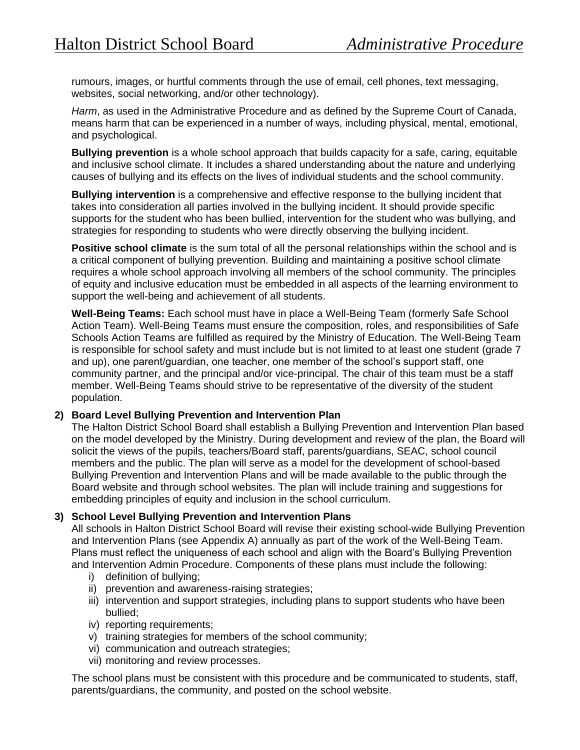rumours, images, or hurtful comments through the use of email, cell phones, text messaging, websites, social networking, and/or other technology).

*Harm*, as used in the Administrative Procedure and as defined by the Supreme Court of Canada, means harm that can be experienced in a number of ways, including physical, mental, emotional, and psychological.

**Bullying prevention** is a whole school approach that builds capacity for a safe, caring, equitable and inclusive school climate. It includes a shared understanding about the nature and underlying causes of bullying and its effects on the lives of individual students and the school community.

**Bullying intervention** is a comprehensive and effective response to the bullying incident that takes into consideration all parties involved in the bullying incident. It should provide specific supports for the student who has been bullied, intervention for the student who was bullying, and strategies for responding to students who were directly observing the bullying incident.

**Positive school climate** is the sum total of all the personal relationships within the school and is a critical component of bullying prevention. Building and maintaining a positive school climate requires a whole school approach involving all members of the school community. The principles of equity and inclusive education must be embedded in all aspects of the learning environment to support the well-being and achievement of all students.

**Well-Being Teams:** Each school must have in place a Well-Being Team (formerly Safe School Action Team). Well-Being Teams must ensure the composition, roles, and responsibilities of Safe Schools Action Teams are fulfilled as required by the Ministry of Education. The Well-Being Team is responsible for school safety and must include but is not limited to at least one student (grade 7 and up), one parent/guardian, one teacher, one member of the school's support staff, one community partner, and the principal and/or vice-principal. The chair of this team must be a staff member. Well-Being Teams should strive to be representative of the diversity of the student population.

### **2) Board Level Bullying Prevention and Intervention Plan**

The Halton District School Board shall establish a Bullying Prevention and Intervention Plan based on the model developed by the Ministry. During development and review of the plan, the Board will solicit the views of the pupils, teachers/Board staff, parents/guardians, SEAC, school council members and the public. The plan will serve as a model for the development of school-based Bullying Prevention and Intervention Plans and will be made available to the public through the Board website and through school websites. The plan will include training and suggestions for embedding principles of equity and inclusion in the school curriculum.

### **3) School Level Bullying Prevention and Intervention Plans**

All schools in Halton District School Board will revise their existing school-wide Bullying Prevention and Intervention Plans (see Appendix A) annually as part of the work of the Well-Being Team. Plans must reflect the uniqueness of each school and align with the Board's Bullying Prevention and Intervention Admin Procedure. Components of these plans must include the following:

- i) definition of bullying;
- ii) prevention and awareness-raising strategies;
- iii) intervention and support strategies, including plans to support students who have been bullied;
- iv) reporting requirements;
- v) training strategies for members of the school community;
- vi) communication and outreach strategies;
- vii) monitoring and review processes.

The school plans must be consistent with this procedure and be communicated to students, staff, parents/guardians, the community, and posted on the school website.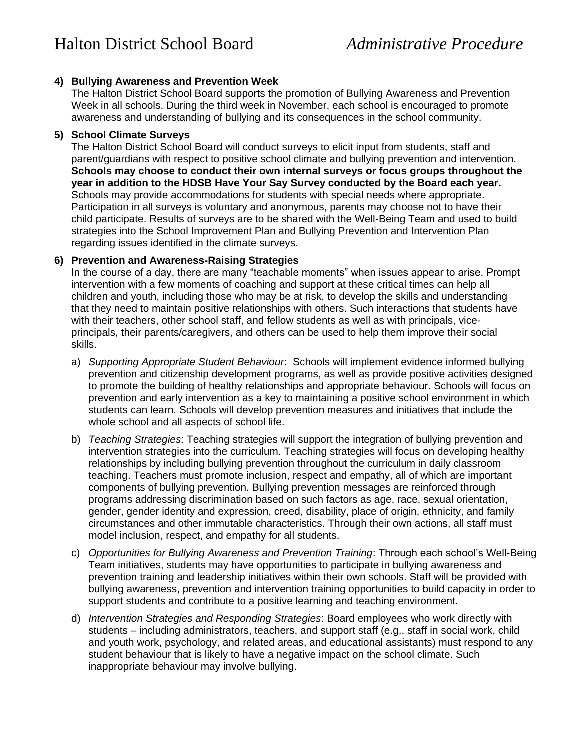## **4) Bullying Awareness and Prevention Week**

The Halton District School Board supports the promotion of Bullying Awareness and Prevention Week in all schools. During the third week in November, each school is encouraged to promote awareness and understanding of bullying and its consequences in the school community.

### **5) School Climate Surveys**

The Halton District School Board will conduct surveys to elicit input from students, staff and parent/guardians with respect to positive school climate and bullying prevention and intervention. **Schools may choose to conduct their own internal surveys or focus groups throughout the year in addition to the HDSB Have Your Say Survey conducted by the Board each year.** Schools may provide accommodations for students with special needs where appropriate. Participation in all surveys is voluntary and anonymous, parents may choose not to have their child participate. Results of surveys are to be shared with the Well-Being Team and used to build strategies into the School Improvement Plan and Bullying Prevention and Intervention Plan regarding issues identified in the climate surveys.

## **6) Prevention and Awareness-Raising Strategies**

In the course of a day, there are many "teachable moments" when issues appear to arise. Prompt intervention with a few moments of coaching and support at these critical times can help all children and youth, including those who may be at risk, to develop the skills and understanding that they need to maintain positive relationships with others. Such interactions that students have with their teachers, other school staff, and fellow students as well as with principals, viceprincipals, their parents/caregivers, and others can be used to help them improve their social skills.

- a) *Supporting Appropriate Student Behaviour*: Schools will implement evidence informed bullying prevention and citizenship development programs, as well as provide positive activities designed to promote the building of healthy relationships and appropriate behaviour. Schools will focus on prevention and early intervention as a key to maintaining a positive school environment in which students can learn. Schools will develop prevention measures and initiatives that include the whole school and all aspects of school life.
- b) *Teaching Strategies*: Teaching strategies will support the integration of bullying prevention and intervention strategies into the curriculum. Teaching strategies will focus on developing healthy relationships by including bullying prevention throughout the curriculum in daily classroom teaching. Teachers must promote inclusion, respect and empathy, all of which are important components of bullying prevention. Bullying prevention messages are reinforced through programs addressing discrimination based on such factors as age, race, sexual orientation, gender, gender identity and expression, creed, disability, place of origin, ethnicity, and family circumstances and other immutable characteristics. Through their own actions, all staff must model inclusion, respect, and empathy for all students.
- c) *Opportunities for Bullying Awareness and Prevention Training*: Through each school's Well-Being Team initiatives, students may have opportunities to participate in bullying awareness and prevention training and leadership initiatives within their own schools. Staff will be provided with bullying awareness, prevention and intervention training opportunities to build capacity in order to support students and contribute to a positive learning and teaching environment.
- d) *Intervention Strategies and Responding Strategies*: Board employees who work directly with students – including administrators, teachers, and support staff (e.g., staff in social work, child and youth work, psychology, and related areas, and educational assistants) must respond to any student behaviour that is likely to have a negative impact on the school climate. Such inappropriate behaviour may involve bullying.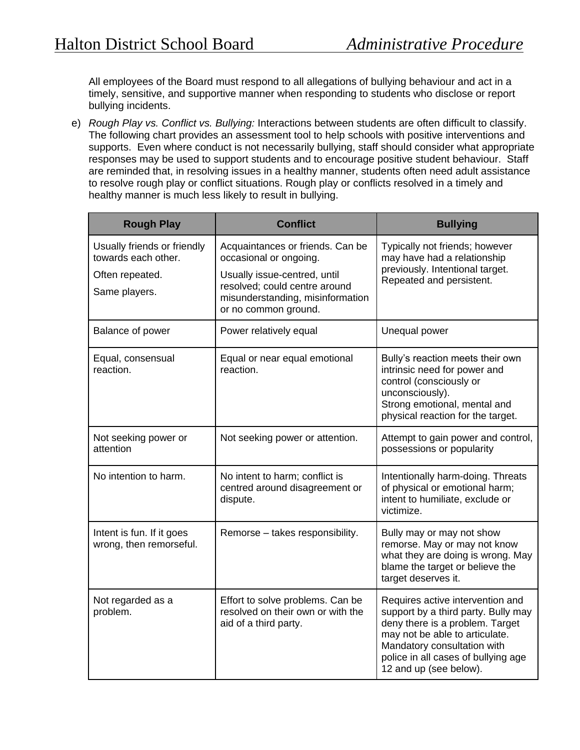All employees of the Board must respond to all allegations of bullying behaviour and act in a timely, sensitive, and supportive manner when responding to students who disclose or report bullying incidents.

e) *Rough Play vs. Conflict vs. Bullying:* Interactions between students are often difficult to classify. The following chart provides an assessment tool to help schools with positive interventions and supports. Even where conduct is not necessarily bullying, staff should consider what appropriate responses may be used to support students and to encourage positive student behaviour. Staff are reminded that, in resolving issues in a healthy manner, students often need adult assistance to resolve rough play or conflict situations. Rough play or conflicts resolved in a timely and healthy manner is much less likely to result in bullying.

| <b>Rough Play</b>                                    | <b>Conflict</b>                                                                                | <b>Bullying</b>                                                                                                                                                                                                                              |  |
|------------------------------------------------------|------------------------------------------------------------------------------------------------|----------------------------------------------------------------------------------------------------------------------------------------------------------------------------------------------------------------------------------------------|--|
| Usually friends or friendly<br>towards each other.   | Acquaintances or friends. Can be<br>occasional or ongoing.                                     | Typically not friends; however<br>may have had a relationship<br>previously. Intentional target.<br>Repeated and persistent.                                                                                                                 |  |
| Often repeated.                                      | Usually issue-centred, until                                                                   |                                                                                                                                                                                                                                              |  |
| Same players.                                        | resolved; could centre around<br>misunderstanding, misinformation<br>or no common ground.      |                                                                                                                                                                                                                                              |  |
| Balance of power                                     | Power relatively equal                                                                         | Unequal power                                                                                                                                                                                                                                |  |
| Equal, consensual<br>reaction.                       | Equal or near equal emotional<br>reaction.                                                     | Bully's reaction meets their own<br>intrinsic need for power and<br>control (consciously or<br>unconsciously).<br>Strong emotional, mental and<br>physical reaction for the target.                                                          |  |
| Not seeking power or<br>attention                    | Not seeking power or attention.                                                                | Attempt to gain power and control,<br>possessions or popularity                                                                                                                                                                              |  |
| No intention to harm.                                | No intent to harm; conflict is<br>centred around disagreement or<br>dispute.                   | Intentionally harm-doing. Threats<br>of physical or emotional harm;<br>intent to humiliate, exclude or<br>victimize.                                                                                                                         |  |
| Intent is fun. If it goes<br>wrong, then remorseful. | Remorse - takes responsibility.                                                                | Bully may or may not show<br>remorse. May or may not know<br>what they are doing is wrong. May<br>blame the target or believe the<br>target deserves it.                                                                                     |  |
| Not regarded as a<br>problem.                        | Effort to solve problems. Can be<br>resolved on their own or with the<br>aid of a third party. | Requires active intervention and<br>support by a third party. Bully may<br>deny there is a problem. Target<br>may not be able to articulate.<br>Mandatory consultation with<br>police in all cases of bullying age<br>12 and up (see below). |  |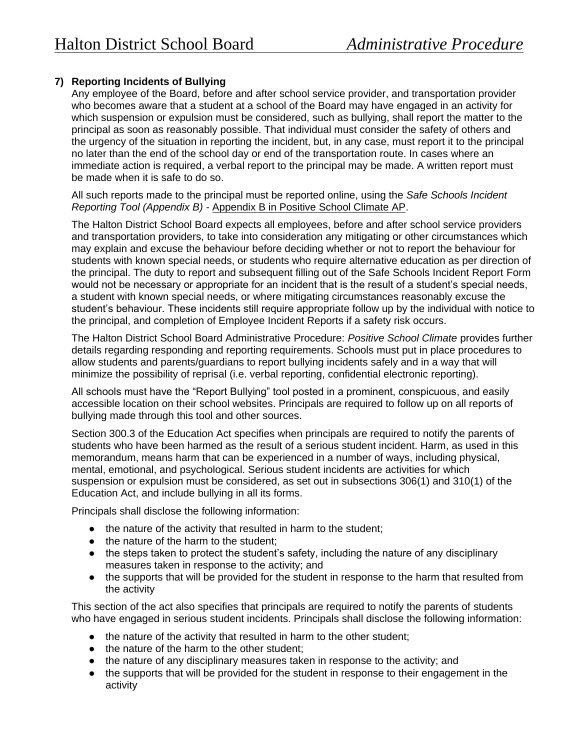# **7) Reporting Incidents of Bullying**

Any employee of the Board, before and after school service provider, and transportation provider who becomes aware that a student at a school of the Board may have engaged in an activity for which suspension or expulsion must be considered, such as bullying, shall report the matter to the principal as soon as reasonably possible. That individual must consider the safety of others and the urgency of the situation in reporting the incident, but, in any case, must report it to the principal no later than the end of the school day or end of the transportation route. In cases where an immediate action is required, a verbal report to the principal may be made. A written report must be made when it is safe to do so.

All such reports made to the principal must be reported online, using the *Safe Schools Incident Reporting Tool (Appendix B) -* [Appendix B in Positive School Climate AP.](https://www.hdsb.ca/our-board/Policy/PositiveSchoolClimate.pdf#search=positive%20school%20climate)

The Halton District School Board expects all employees, before and after school service providers and transportation providers, to take into consideration any mitigating or other circumstances which may explain and excuse the behaviour before deciding whether or not to report the behaviour for students with known special needs, or students who require alternative education as per direction of the principal. The duty to report and subsequent filling out of the Safe Schools Incident Report Form would not be necessary or appropriate for an incident that is the result of a student's special needs, a student with known special needs, or where mitigating circumstances reasonably excuse the student's behaviour. These incidents still require appropriate follow up by the individual with notice to the principal, and completion of Employee Incident Reports if a safety risk occurs.

The Halton District School Board Administrative Procedure: *Positive School Climate* provides further details regarding responding and reporting requirements. Schools must put in place procedures to allow students and parents/guardians to report bullying incidents safely and in a way that will minimize the possibility of reprisal (i.e. verbal reporting, confidential electronic reporting).

All schools must have the "Report Bullying" tool posted in a prominent, conspicuous, and easily accessible location on their school websites. Principals are required to follow up on all reports of bullying made through this tool and other sources.

Section 300.3 of the Education Act specifies when principals are required to notify the parents of students who have been harmed as the result of a serious student incident. Harm, as used in this memorandum, means harm that can be experienced in a number of ways, including physical, mental, emotional, and psychological. Serious student incidents are activities for which suspension or expulsion must be considered, as set out in subsections 306(1) and 310(1) of the Education Act, and include bullying in all its forms.

Principals shall disclose the following information:

- the nature of the activity that resulted in harm to the student;
- the nature of the harm to the student;
- the steps taken to protect the student's safety, including the nature of any disciplinary measures taken in response to the activity; and
- the supports that will be provided for the student in response to the harm that resulted from the activity

This section of the act also specifies that principals are required to notify the parents of students who have engaged in serious student incidents. Principals shall disclose the following information:

- the nature of the activity that resulted in harm to the other student;
- the nature of the harm to the other student;
- the nature of any disciplinary measures taken in response to the activity; and
- the supports that will be provided for the student in response to their engagement in the activity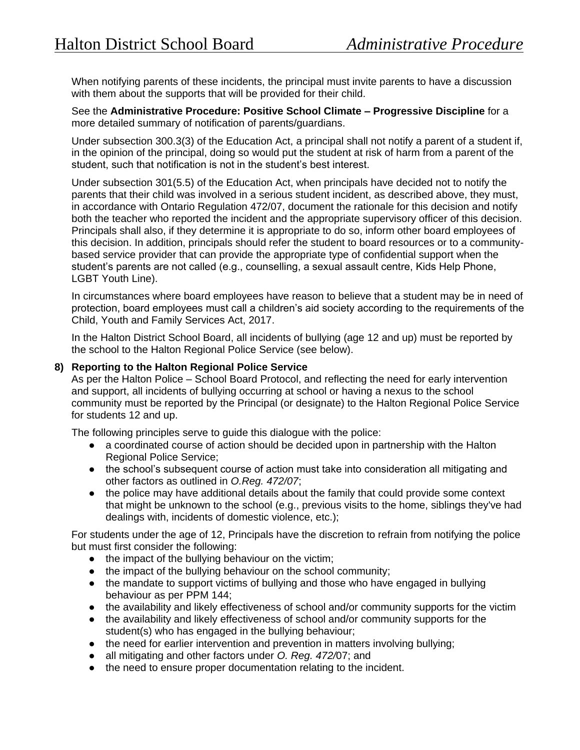When notifying parents of these incidents, the principal must invite parents to have a discussion with them about the supports that will be provided for their child.

See the **Administrative Procedure: Positive School Climate – Progressive Discipline** for a more detailed summary of notification of parents/guardians.

Under subsection 300.3(3) of the Education Act, a principal shall not notify a parent of a student if, in the opinion of the principal, doing so would put the student at risk of harm from a parent of the student, such that notification is not in the student's best interest.

Under subsection 301(5.5) of the Education Act, when principals have decided not to notify the parents that their child was involved in a serious student incident, as described above, they must, in accordance with Ontario Regulation 472/07, document the rationale for this decision and notify both the teacher who reported the incident and the appropriate supervisory officer of this decision. Principals shall also, if they determine it is appropriate to do so, inform other board employees of this decision. In addition, principals should refer the student to board resources or to a communitybased service provider that can provide the appropriate type of confidential support when the student's parents are not called (e.g., counselling, a sexual assault centre, Kids Help Phone, LGBT Youth Line).

In circumstances where board employees have reason to believe that a student may be in need of protection, board employees must call a children's aid society according to the requirements of the Child, Youth and Family Services Act, 2017.

In the Halton District School Board, all incidents of bullying (age 12 and up) must be reported by the school to the Halton Regional Police Service (see below).

### **8) Reporting to the Halton Regional Police Service**

As per the Halton Police – School Board Protocol, and reflecting the need for early intervention and support, all incidents of bullying occurring at school or having a nexus to the school community must be reported by the Principal (or designate) to the Halton Regional Police Service for students 12 and up.

The following principles serve to guide this dialogue with the police:

- a coordinated course of action should be decided upon in partnership with the Halton Regional Police Service;
- the school's subsequent course of action must take into consideration all mitigating and other factors as outlined in *O.Reg. 472/07*;
- the police may have additional details about the family that could provide some context that might be unknown to the school (e.g., previous visits to the home, siblings they've had dealings with, incidents of domestic violence, etc.);

For students under the age of 12, Principals have the discretion to refrain from notifying the police but must first consider the following:

- the impact of the bullying behaviour on the victim;
- the impact of the bullying behaviour on the school community;
- the mandate to support victims of bullying and those who have engaged in bullying behaviour as per PPM 144;
- the availability and likely effectiveness of school and/or community supports for the victim
- the availability and likely effectiveness of school and/or community supports for the student(s) who has engaged in the bullying behaviour;
- the need for earlier intervention and prevention in matters involving bullying;
- all mitigating and other factors under *O. Reg. 472/*07; and
- the need to ensure proper documentation relating to the incident.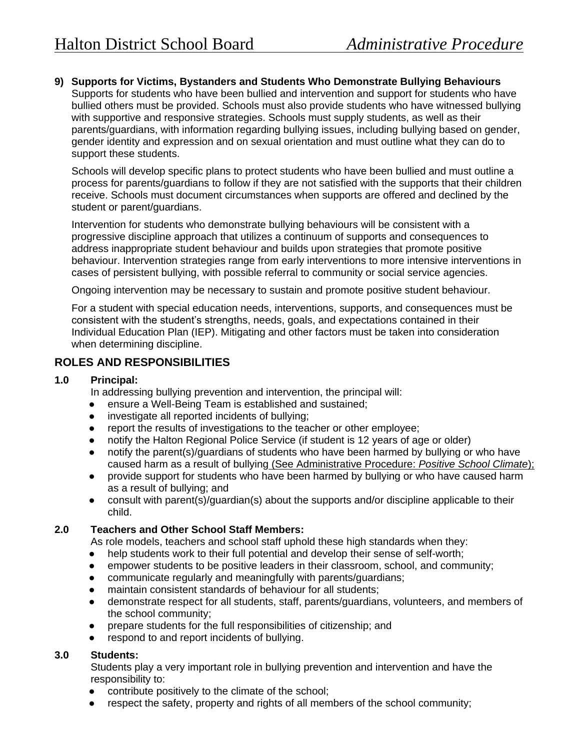**9) Supports for Victims, Bystanders and Students Who Demonstrate Bullying Behaviours** 

Supports for students who have been bullied and intervention and support for students who have bullied others must be provided. Schools must also provide students who have witnessed bullying with supportive and responsive strategies. Schools must supply students, as well as their parents/guardians, with information regarding bullying issues, including bullying based on gender, gender identity and expression and on sexual orientation and must outline what they can do to support these students.

Schools will develop specific plans to protect students who have been bullied and must outline a process for parents/guardians to follow if they are not satisfied with the supports that their children receive. Schools must document circumstances when supports are offered and declined by the student or parent/guardians.

Intervention for students who demonstrate bullying behaviours will be consistent with a progressive discipline approach that utilizes a continuum of supports and consequences to address inappropriate student behaviour and builds upon strategies that promote positive behaviour. Intervention strategies range from early interventions to more intensive interventions in cases of persistent bullying, with possible referral to community or social service agencies.

Ongoing intervention may be necessary to sustain and promote positive student behaviour.

For a student with special education needs, interventions, supports, and consequences must be consistent with the student's strengths, needs, goals, and expectations contained in their Individual Education Plan (IEP). Mitigating and other factors must be taken into consideration when determining discipline.

# **ROLES AND RESPONSIBILITIES**

### **1.0 Principal:**

In addressing bullying prevention and intervention, the principal will:

- ensure a Well-Being Team is established and sustained;
- investigate all reported incidents of bullying;
- report the results of investigations to the teacher or other employee;
- notify the Halton Regional Police Service (if student is 12 years of age or older)
- notify the parent(s)/guardians of students who have been harmed by bullying or who have caused harm as a result of bullying [\(See Administrative Procedure:](https://www.hdsb.ca/our-board/Policy/PositiveSchoolClimate.pdf#search=positive%20school%20climate) *[Positive School Climate](https://www.hdsb.ca/our-board/Policy/PositiveSchoolClimate.pdf#search=positive%20school%20climate)*[\);](https://www.hdsb.ca/our-board/Policy/PositiveSchoolClimate.pdf#search=positive%20school%20climate)
- provide support for students who have been harmed by bullying or who have caused harm as a result of bullying; and
- consult with parent(s)/guardian(s) about the supports and/or discipline applicable to their child.

## **2.0 Teachers and Other School Staff Members:**

As role models, teachers and school staff uphold these high standards when they:

- help students work to their full potential and develop their sense of self-worth;
- empower students to be positive leaders in their classroom, school, and community;
- communicate regularly and meaningfully with parents/guardians;
- maintain consistent standards of behaviour for all students;
- demonstrate respect for all students, staff, parents/guardians, volunteers, and members of the school community;
- prepare students for the full responsibilities of citizenship; and
- respond to and report incidents of bullying.

## **3.0 Students:**

Students play a very important role in bullying prevention and intervention and have the responsibility to:

- contribute positively to the climate of the school;
- respect the safety, property and rights of all members of the school community;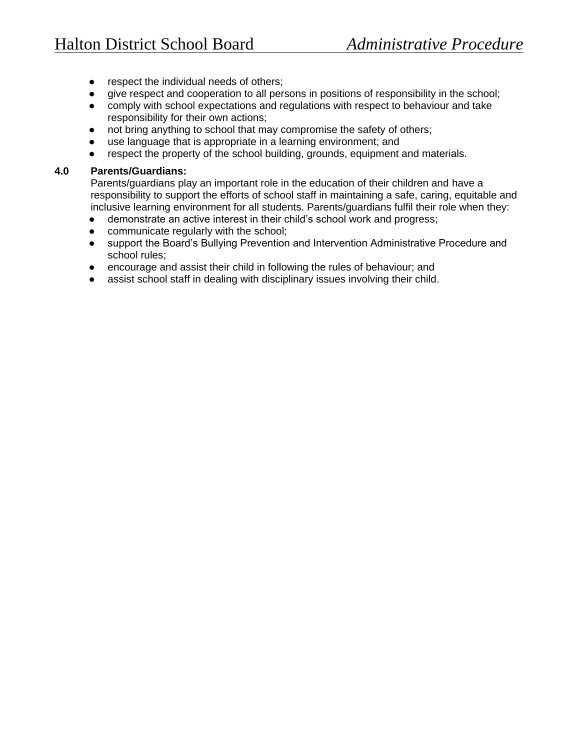- respect the individual needs of others;
- give respect and cooperation to all persons in positions of responsibility in the school;
- comply with school expectations and regulations with respect to behaviour and take responsibility for their own actions;
- not bring anything to school that may compromise the safety of others;
- use language that is appropriate in a learning environment; and
- respect the property of the school building, grounds, equipment and materials.

#### **4.0 Parents/Guardians:**

Parents/guardians play an important role in the education of their children and have a responsibility to support the efforts of school staff in maintaining a safe, caring, equitable and inclusive learning environment for all students. Parents/guardians fulfil their role when they:

- demonstrate an active interest in their child's school work and progress;
- communicate regularly with the school;
- support the Board's Bullying Prevention and Intervention Administrative Procedure and school rules;
- encourage and assist their child in following the rules of behaviour; and
- assist school staff in dealing with disciplinary issues involving their child.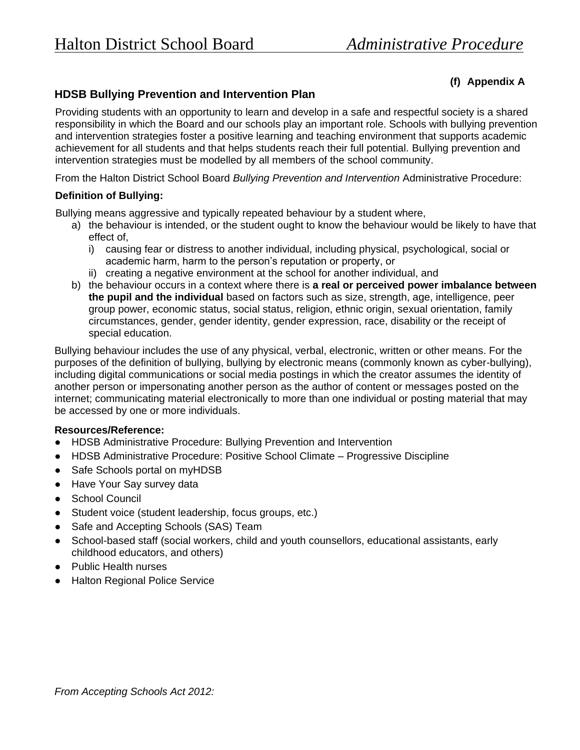## **(f) Appendix A**

## **HDSB Bullying Prevention and Intervention Plan**

Providing students with an opportunity to learn and develop in a safe and respectful society is a shared responsibility in which the Board and our schools play an important role. Schools with bullying prevention and intervention strategies foster a positive learning and teaching environment that supports academic achievement for all students and that helps students reach their full potential. Bullying prevention and intervention strategies must be modelled by all members of the school community.

From the Halton District School Board *Bullying Prevention and Intervention* Administrative Procedure:

### **Definition of Bullying:**

Bullying means aggressive and typically repeated behaviour by a student where,

- a) the behaviour is intended, or the student ought to know the behaviour would be likely to have that effect of,
	- i) causing fear or distress to another individual, including physical, psychological, social or academic harm, harm to the person's reputation or property, or
	- ii) creating a negative environment at the school for another individual, and
- b) the behaviour occurs in a context where there is **a real or perceived power imbalance between the pupil and the individual** based on factors such as size, strength, age, intelligence, peer group power, economic status, social status, religion, ethnic origin, sexual orientation, family circumstances, gender, gender identity, gender expression, race, disability or the receipt of special education.

Bullying behaviour includes the use of any physical, verbal, electronic, written or other means. For the purposes of the definition of bullying, bullying by electronic means (commonly known as cyber-bullying), including digital communications or social media postings in which the creator assumes the identity of another person or impersonating another person as the author of content or messages posted on the internet; communicating material electronically to more than one individual or posting material that may be accessed by one or more individuals.

### **Resources/Reference:**

- HDSB Administrative Procedure: Bullying Prevention and Intervention
- HDSB Administrative Procedure: Positive School Climate Progressive Discipline
- Safe Schools portal on myHDSB
- Have Your Say survey data
- School Council
- Student voice (student leadership, focus groups, etc.)
- Safe and Accepting Schools (SAS) Team
- School-based staff (social workers, child and youth counsellors, educational assistants, early childhood educators, and others)
- Public Health nurses
- Halton Regional Police Service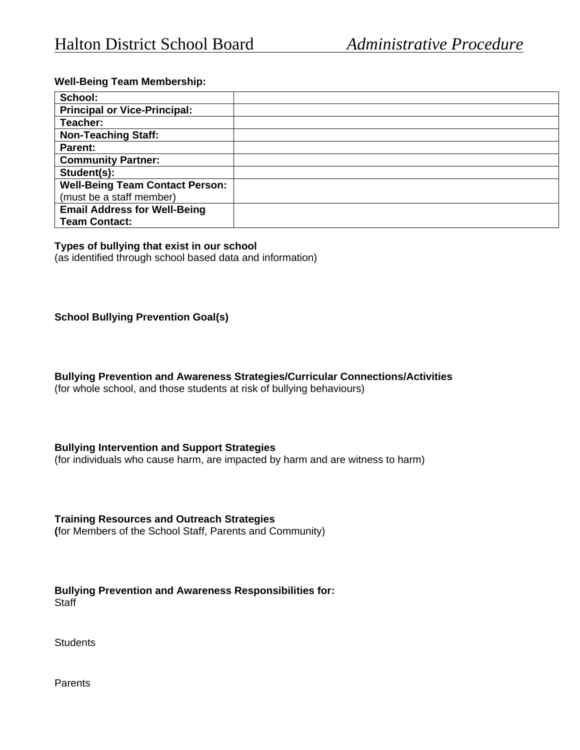### **Well-Being Team Membership:**

| School:                                |  |
|----------------------------------------|--|
| <b>Principal or Vice-Principal:</b>    |  |
| Teacher:                               |  |
| <b>Non-Teaching Staff:</b>             |  |
| <b>Parent:</b>                         |  |
| <b>Community Partner:</b>              |  |
| Student(s):                            |  |
| <b>Well-Being Team Contact Person:</b> |  |
| (must be a staff member)               |  |
| <b>Email Address for Well-Being</b>    |  |
| <b>Team Contact:</b>                   |  |

#### **Types of bullying that exist in our school**

(as identified through school based data and information)

#### **School Bullying Prevention Goal(s)**

**Bullying Prevention and Awareness Strategies/Curricular Connections/Activities**

(for whole school, and those students at risk of bullying behaviours)

#### **Bullying Intervention and Support Strategies**

(for individuals who cause harm, are impacted by harm and are witness to harm)

**Training Resources and Outreach Strategies (**for Members of the School Staff, Parents and Community)

**Bullying Prevention and Awareness Responsibilities for: Staff** 

**Students** 

Parents